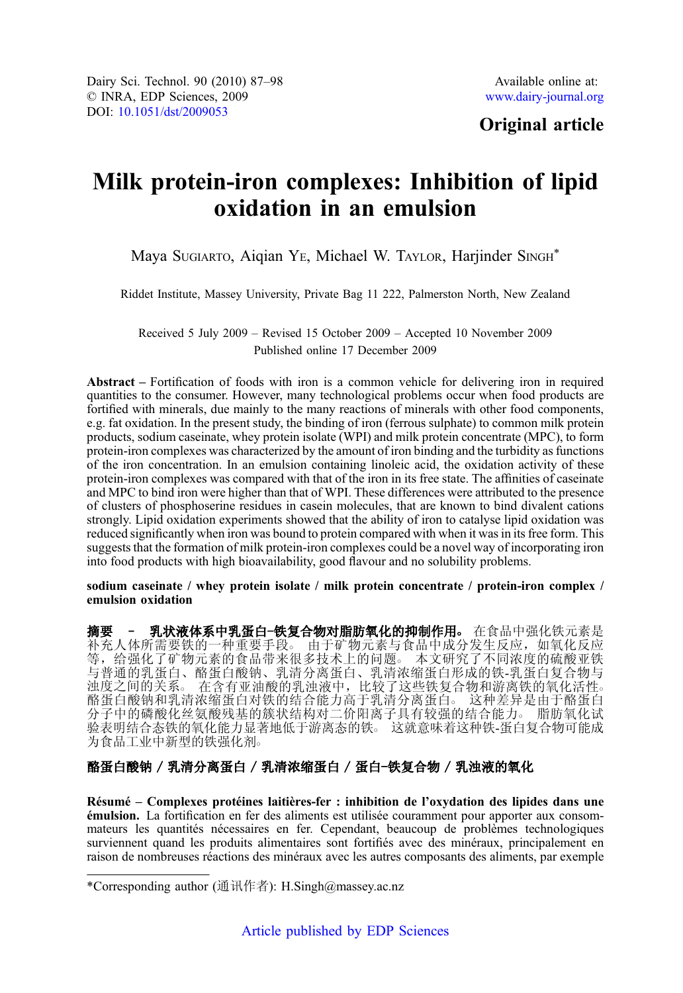# Original article

# Milk protein-iron complexes: Inhibition of lipid oxidation in an emulsion

Maya Suglarto, Aigian Ye, Michael W. TAYLOR, Harjinder SINGH<sup>\*</sup>

Riddet Institute, Massey University, Private Bag 11 222, Palmerston North, New Zealand

Received 5 July 2009 – Revised 15 October 2009 – Accepted 10 November 2009 Published online 17 December 2009

Abstract – Fortification of foods with iron is a common vehicle for delivering iron in required quantities to the consumer. However, many technological problems occur when food products are fortified with minerals, due mainly to the many reactions of minerals with other food components, e.g. fat oxidation. In the present study, the binding of iron (ferrous sulphate) to common milk protein products, sodium caseinate, whey protein isolate (WPI) and milk protein concentrate (MPC), to form protein-iron complexes was characterized by the amount of iron binding and the turbidity as functions of the iron concentration. In an emulsion containing linoleic acid, the oxidation activity of these protein-iron complexes was compared with that of the iron in its free state. The affinities of caseinate and MPC to bind iron were higher than that of WPI. These differences were attributed to the presence of clusters of phosphoserine residues in casein molecules, that are known to bind divalent cations strongly. Lipid oxidation experiments showed that the ability of iron to catalyse lipid oxidation was reduced significantly when iron was bound to protein compared with when it was in its free form. This suggests that the formation of milk protein-iron complexes could be a novel way of incorporating iron into food products with high bioavailability, good flavour and no solubility problems.

sodium caseinate / whey protein isolate / milk protein concentrate / protein-iron complex / emulsion oxidation

摘要 - 乳状液体系中乳蛋白-铁复合物对脂肪氧化的抑制作用。在食品中强化铁元素是 补充人体所需要铁的一种重要手段。由于矿物元素与食品中成分发生反应,如氧化反应 等,给强化了矿物元素的食品带来很多技术上的问题。本文研究了不同浓度的硫酸亚铁 与普通的乳蛋白、酪蛋白酸钠、乳清分离蛋白、乳清浓缩蛋白形成的铁-乳蛋白复合物与 浊度之间的关系。在含有亚油酸的乳浊液中,比较了这些铁复合物和游离铁的氧化活性。 酪蛋白酸钠和乳清浓缩蛋白对铁的结合能力高于乳清分离蛋白。 这种差异是由于酪蛋白 分子中的磷酸化丝氨酸残基的簇状结构对二价阳离子具有较强的结合能力。 脂肪氧化试 验表明结合态铁的氧化能力显著地低于游离态的铁。 这就意味着这种铁-蛋白复合物可能成 为食品工业中新型的铁强化剂。

# 酪蛋白酸钠 / 乳清分离蛋白 / 乳清浓缩蛋白 / 蛋白-铁复合物 / 乳浊液的氧化

Résumé – Complexes protéines laitières-fer : inhibition de l'oxydation des lipides dans une émulsion. La fortification en fer des aliments est utilisée couramment pour apporter aux consommateurs les quantités nécessaires en fer. Cependant, beaucoup de problèmes technologiques surviennent quand les produits alimentaires sont fortifiés avec des minéraux, principalement en raison de nombreuses réactions des minéraux avec les autres composants des aliments, par exemple

<sup>\*</sup>Corresponding author (通讯作者): H.Singh@massey.ac.nz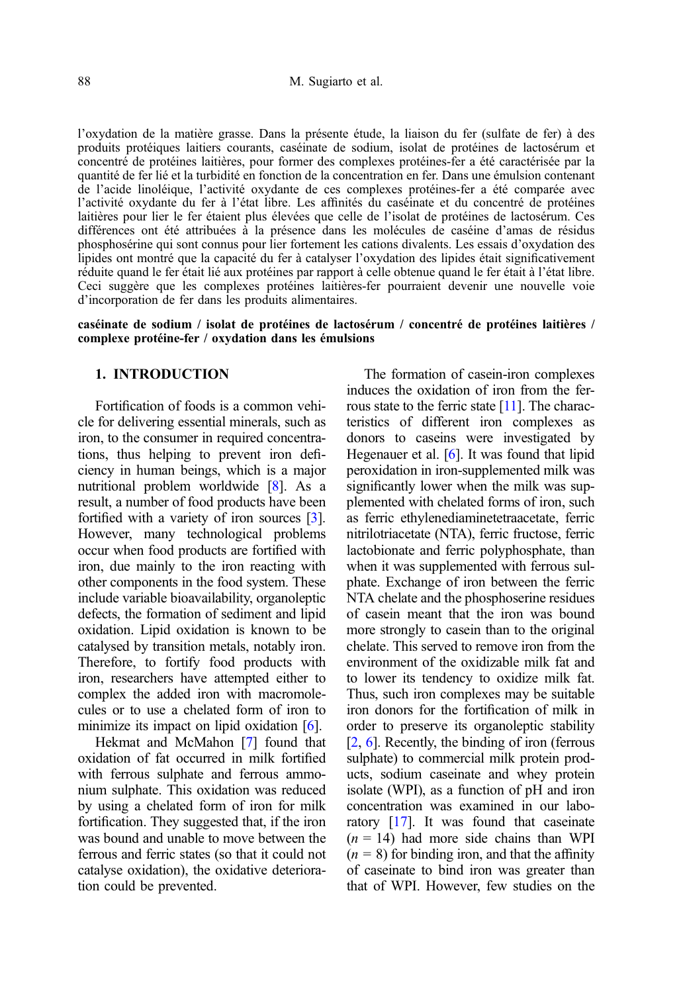l'oxydation de la matière grasse. Dans la présente étude, la liaison du fer (sulfate de fer) à des produits protéiques laitiers courants, caséinate de sodium, isolat de protéines de lactosérum et concentré de protéines laitières, pour former des complexes protéines-fer a été caractérisée par la quantité de fer lié et la turbidité en fonction de la concentration en fer. Dans une émulsion contenant de l'acide linoléique, l'activité oxydante de ces complexes protéines-fer a été comparée avec l'activité oxydante du fer à l'état libre. Les affinités du caséinate et du concentré de protéines laitières pour lier le fer étaient plus élevées que celle de l'isolat de protéines de lactosérum. Ces différences ont été attribuées à la présence dans les molécules de caséine d'amas de résidus phosphosérine qui sont connus pour lier fortement les cations divalents. Les essais d'oxydation des lipides ont montré que la capacité du fer à catalyser l'oxydation des lipides était significativement réduite quand le fer était lié aux protéines par rapport à celle obtenue quand le fer était à l'état libre. Ceci suggère que les complexes protéines laitières-fer pourraient devenir une nouvelle voie d'incorporation de fer dans les produits alimentaires.

#### caséinate de sodium / isolat de protéines de lactosérum / concentré de protéines laitières / complexe protéine-fer / oxydation dans les émulsions

#### 1. INTRODUCTION

Fortification of foods is a common vehicle for delivering essential minerals, such as iron, to the consumer in required concentrations, thus helping to prevent iron deficiency in human beings, which is a major nutritional problem worldwide [\[8](#page-10-0)]. As a result, a number of food products have been fortified with a variety of iron sources [\[3\]](#page-10-0). However, many technological problems occur when food products are fortified with iron, due mainly to the iron reacting with other components in the food system. These include variable bioavailability, organoleptic defects, the formation of sediment and lipid oxidation. Lipid oxidation is known to be catalysed by transition metals, notably iron. Therefore, to fortify food products with iron, researchers have attempted either to complex the added iron with macromolecules or to use a chelated form of iron to minimize its impact on lipid oxidation [\[6](#page-10-0)].

Hekmat and McMahon [\[7](#page-10-0)] found that oxidation of fat occurred in milk fortified with ferrous sulphate and ferrous ammonium sulphate. This oxidation was reduced by using a chelated form of iron for milk fortification. They suggested that, if the iron was bound and unable to move between the ferrous and ferric states (so that it could not catalyse oxidation), the oxidative deterioration could be prevented.

The formation of casein-iron complexes induces the oxidation of iron from the ferrous state to the ferric state [\[11](#page-11-0)]. The characteristics of different iron complexes as donors to caseins were investigated by Hegenauer et al. [\[6](#page-10-0)]. It was found that lipid peroxidation in iron-supplemented milk was significantly lower when the milk was supplemented with chelated forms of iron, such as ferric ethylenediaminetetraacetate, ferric nitrilotriacetate (NTA), ferric fructose, ferric lactobionate and ferric polyphosphate, than when it was supplemented with ferrous sulphate. Exchange of iron between the ferric NTA chelate and the phosphoserine residues of casein meant that the iron was bound more strongly to casein than to the original chelate. This served to remove iron from the environment of the oxidizable milk fat and to lower its tendency to oxidize milk fat. Thus, such iron complexes may be suitable iron donors for the fortification of milk in order to preserve its organoleptic stability [[2](#page-10-0), [6](#page-10-0)]. Recently, the binding of iron (ferrous sulphate) to commercial milk protein products, sodium caseinate and whey protein isolate (WPI), as a function of pH and iron concentration was examined in our laboratory [\[17](#page-11-0)]. It was found that caseinate  $(n = 14)$  had more side chains than WPI  $(n = 8)$  for binding iron, and that the affinity of caseinate to bind iron was greater than that of WPI. However, few studies on the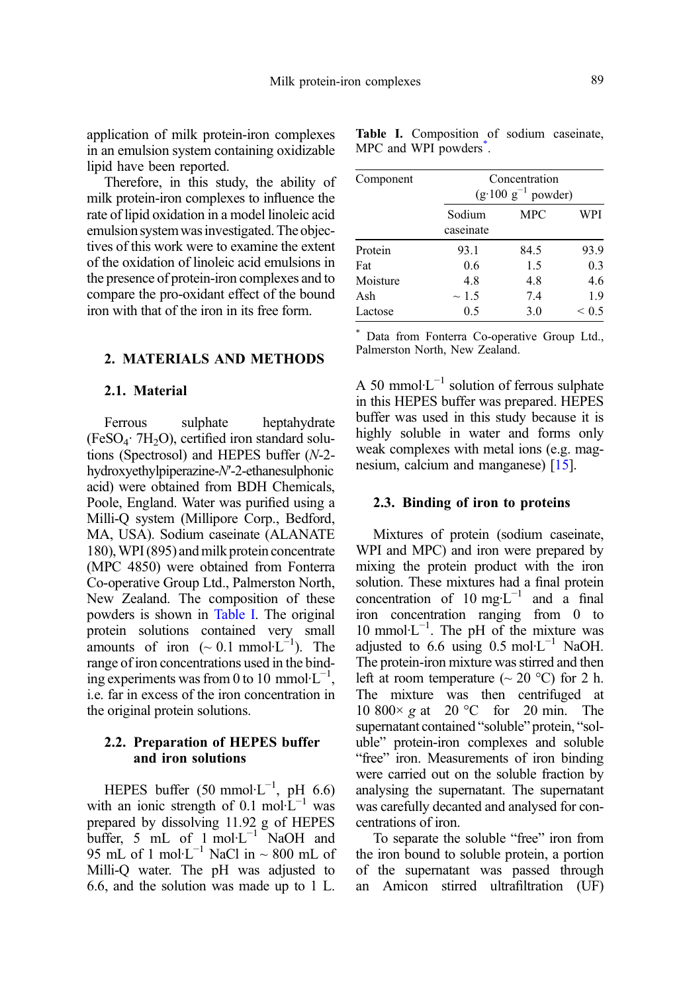application of milk protein-iron complexes in an emulsion system containing oxidizable lipid have been reported.

Therefore, in this study, the ability of milk protein-iron complexes to influence the rate of lipid oxidation in a model linoleic acid emulsion system wasinvestigated. The objectives of this work were to examine the extent of the oxidation of linoleic acid emulsions in the presence of protein-iron complexes and to compare the pro-oxidant effect of the bound iron with that of the iron in its free form.

# 2. MATERIALS AND METHODS

#### 2.1. Material

Ferrous sulphate heptahydrate (FeSO<sub>4</sub>· 7H<sub>2</sub>O), certified iron standard solutions (Spectrosol) and HEPES buffer (N-2 hydroxyethylpiperazine-N′-2-ethanesulphonic acid) were obtained from BDH Chemicals, Poole, England. Water was purified using a Milli-Q system (Millipore Corp., Bedford, MA, USA). Sodium caseinate (ALANATE 180),WPI (895) and milk protein concentrate (MPC 4850) were obtained from Fonterra Co-operative Group Ltd., Palmerston North, New Zealand. The composition of these powders is shown in Table I. The original protein solutions contained very small amounts of iron  $({\sim 0.1 \text{ mmol}\cdot L}^{-1})$ . The range of iron concentrations used in the binding experiments was from 0 to 10 mmol⋅ $L^{-1}$ , i.e. far in excess of the iron concentration in the original protein solutions.

# 2.2. Preparation of HEPES buffer and iron solutions

HEPES buffer (50 mmol⋅L<sup>-1</sup>, pH 6.6) with an ionic strength of 0.1 mol· $\tilde{L}^{-1}$  was prepared by dissolving 11.92 g of HEPES buffer, 5 mL of 1 mol·L−<sup>1</sup> NaOH and 95 mL of 1 mol·L<sup>-1</sup> NaCl in ~ 800 mL of Milli-Q water. The pH was adjusted to 6.6, and the solution was made up to 1 L.

| Component | Concentration<br>$(g \cdot 100 \text{ g}^{-1} \text{ powder})$ |            |                 |
|-----------|----------------------------------------------------------------|------------|-----------------|
|           | Sodium<br>caseinate                                            | <b>MPC</b> | WPI             |
| Protein   | 93.1                                                           | 84.5       | 93.9            |
| Fat       | 0.6                                                            | 1.5        | 0.3             |
| Moisture  | 4.8                                                            | 4.8        | 4.6             |
| Ash       | $\sim$ 1.5                                                     | 7.4        | 1.9             |
| Lactose   | 0.5                                                            | 3.0        | ${}_{\leq 0.5}$ |

Table I. Composition of sodium caseinate, MPC and WPI powders<sup>\*</sup>.

\* Data from Fonterra Co-operative Group Ltd., Palmerston North, New Zealand.

A 50 mmol⋅ $L^{-1}$  solution of ferrous sulphate in this HEPES buffer was prepared. HEPES buffer was used in this study because it is highly soluble in water and forms only weak complexes with metal ions (e.g. magnesium, calcium and manganese) [\[15\]](#page-11-0).

#### 2.3. Binding of iron to proteins

Mixtures of protein (sodium caseinate, WPI and MPC) and iron were prepared by mixing the protein product with the iron solution. These mixtures had a final protein concentration of 10 mg⋅ $L^{-1}$  and a final iron concentration ranging from 0 to 10 mmol·L−<sup>1</sup> . The pH of the mixture was adjusted to 6.6 using  $0.5 \text{ mol} \cdot L^{-1}$  NaOH. The protein-iron mixture was stirred and then left at room temperature ( $\sim$  20 °C) for 2 h. The mixture was then centrifuged at 10 800 $\times$  g at 20 °C for 20 min. The supernatant contained "soluble" protein, "soluble" protein-iron complexes and soluble "free" iron. Measurements of iron binding were carried out on the soluble fraction by analysing the supernatant. The supernatant was carefully decanted and analysed for concentrations of iron.

To separate the soluble "free" iron from the iron bound to soluble protein, a portion of the supernatant was passed through an Amicon stirred ultrafiltration (UF)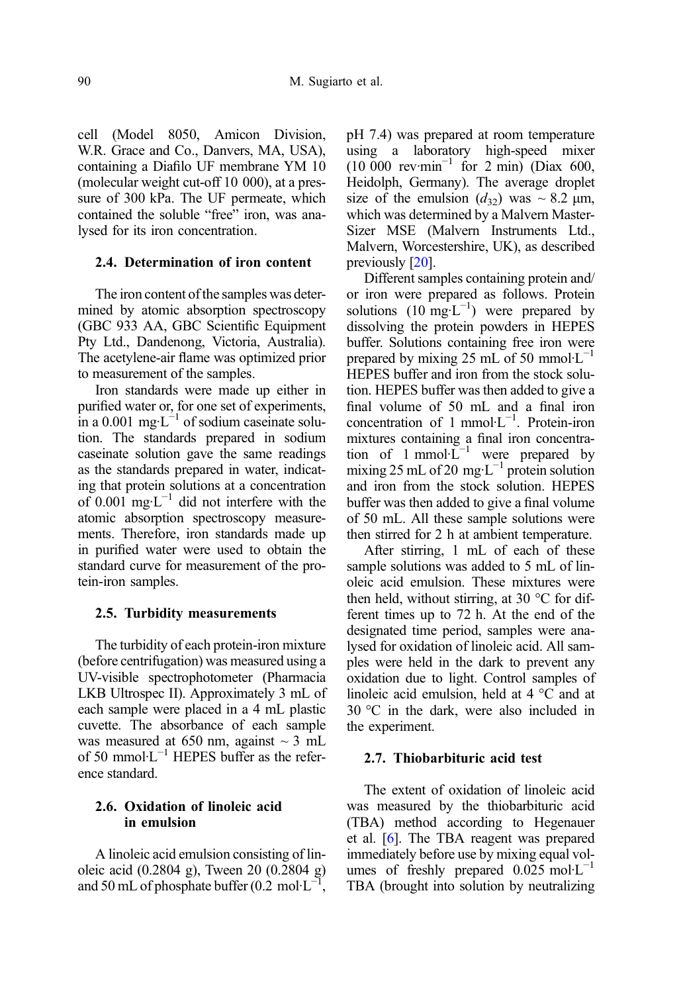cell (Model 8050, Amicon Division, W.R. Grace and Co., Danvers, MA, USA), containing a Diafilo UF membrane YM 10 (molecular weight cut-off 10 000), at a pressure of 300 kPa. The UF permeate, which contained the soluble "free" iron, was analysed for its iron concentration.

#### 2.4. Determination of iron content

The iron content of the samples was determined by atomic absorption spectroscopy (GBC 933 AA, GBC Scientific Equipment Pty Ltd., Dandenong, Victoria, Australia). The acetylene-air flame was optimized prior to measurement of the samples.

Iron standards were made up either in purified water or, for one set of experiments, in a 0.001 mg·L<sup>-1</sup> of sodium caseinate solution. The standards prepared in sodium caseinate solution gave the same readings as the standards prepared in water, indicating that protein solutions at a concentration of 0.001 mg⋅ $L^{-1}$  did not interfere with the atomic absorption spectroscopy measurements. Therefore, iron standards made up in purified water were used to obtain the standard curve for measurement of the protein-iron samples.

# 2.5. Turbidity measurements

The turbidity of each protein-iron mixture (before centrifugation) was measured using a UV-visible spectrophotometer (Pharmacia LKB Ultrospec II). Approximately 3 mL of each sample were placed in a 4 mL plastic cuvette. The absorbance of each sample was measured at 650 nm, against  $\sim$  3 mL of 50 mmol·L<sup> $-1$ </sup> HEPES buffer as the reference standard.

#### 2.6. Oxidation of linoleic acid in emulsion

A linoleic acid emulsion consisting of linoleic acid (0.2804 g), Tween 20 (0.2804 g) and 50 mL of phosphate buffer (0.2 mol·L<sup>-1</sup>,

pH 7.4) was prepared at room temperature using a laboratory high-speed mixer  $(10\ 000\ \text{rev}\cdot\text{min}^{-1}$  for 2 min) (Diax 600, Heidolph, Germany). The average droplet size of the emulsion  $(d_{32})$  was  $\sim 8.2$  µm, which was determined by a Malvern Master-Sizer MSE (Malvern Instruments Ltd., Malvern, Worcestershire, UK), as described previously [[20](#page-11-0)].

Different samples containing protein and/ or iron were prepared as follows. Protein solutions  $(10 \text{ mg} \cdot \text{L}^{-1})$  were prepared by dissolving the protein powders in HEPES buffer. Solutions containing free iron were prepared by mixing 25 mL of 50 mmol⋅ $L^{-1}$ HEPES buffer and iron from the stock solution. HEPES buffer was then added to give a final volume of 50 mL and a final iron concentration of 1 mmol·L−<sup>1</sup> . Protein-iron mixtures containing a final iron concentration of 1 mmol⋅L<sup>-1</sup> were prepared by mixing 25 mL of 20 mg·L<sup>-1</sup> protein solution and iron from the stock solution. HEPES buffer was then added to give a final volume of 50 mL. All these sample solutions were then stirred for 2 h at ambient temperature.

After stirring, 1 mL of each of these sample solutions was added to 5 mL of linoleic acid emulsion. These mixtures were then held, without stirring, at 30 °C for different times up to 72 h. At the end of the designated time period, samples were analysed for oxidation of linoleic acid. All samples were held in the dark to prevent any oxidation due to light. Control samples of linoleic acid emulsion, held at 4 °C and at 30 °C in the dark, were also included in the experiment.

#### 2.7. Thiobarbituric acid test

The extent of oxidation of linoleic acid was measured by the thiobarbituric acid (TBA) method according to Hegenauer et al. [\[6\]](#page-10-0). The TBA reagent was prepared immediately before use by mixing equal volumes of freshly prepared  $0.025$  mol·L<sup>-1</sup> TBA (brought into solution by neutralizing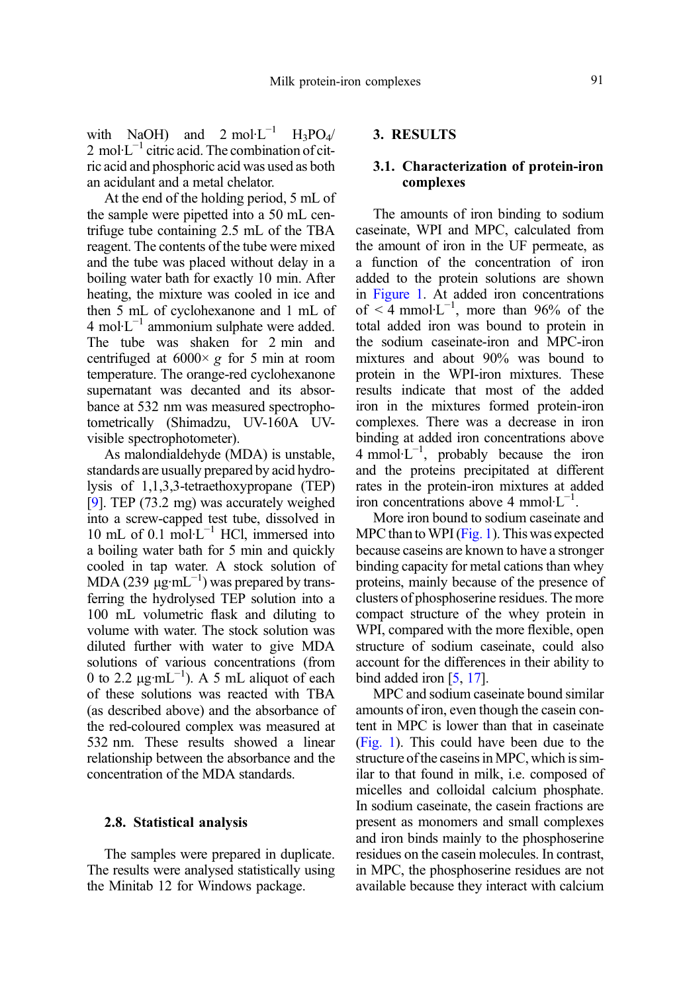with NaOH) and 2 mol·L<sup>-1</sup> H<sub>2</sub>PO<sub>4</sub>/ 2 mol·L<sup>-1</sup> citric acid. The combination of citric acid and phosphoric acid was used as both an acidulant and a metal chelator.

At the end of the holding period, 5 mL of the sample were pipetted into a 50 mL centrifuge tube containing 2.5 mL of the TBA reagent. The contents of the tube were mixed and the tube was placed without delay in a boiling water bath for exactly 10 min. After heating, the mixture was cooled in ice and then 5 mL of cyclohexanone and 1 mL of 4 mol· $L^{-1}$  ammonium sulphate were added. The tube was shaken for 2 min and centrifuged at  $6000 \times g$  for 5 min at room temperature. The orange-red cyclohexanone supernatant was decanted and its absorbance at 532 nm was measured spectrophotometrically (Shimadzu, UV-160A UVvisible spectrophotometer).

As malondialdehyde (MDA) is unstable, standards are usually prepared by acid hydrolysis of 1,1,3,3-tetraethoxypropane (TEP) [[9](#page-10-0)]. TEP (73.2 mg) was accurately weighed into a screw-capped test tube, dissolved in 10 mL of 0.1 mol⋅L<sup>-1</sup> HCl, immersed into a boiling water bath for 5 min and quickly cooled in tap water. A stock solution of MDA (239  $\mu$ g·mL<sup>-1</sup>) was prepared by transferring the hydrolysed TEP solution into a 100 mL volumetric flask and diluting to volume with water. The stock solution was diluted further with water to give MDA solutions of various concentrations (from 0 to 2.2  $\mu$ g·mL<sup>-1</sup>). A 5 mL aliquot of each of these solutions was reacted with TBA (as described above) and the absorbance of the red-coloured complex was measured at 532 nm. These results showed a linear relationship between the absorbance and the concentration of the MDA standards.

#### 2.8. Statistical analysis

The samples were prepared in duplicate. The results were analysed statistically using the Minitab 12 for Windows package.

#### 3. RESULTS

# 3.1. Characterization of protein-iron complexes

The amounts of iron binding to sodium caseinate, WPI and MPC, calculated from the amount of iron in the UF permeate, as a function of the concentration of iron added to the protein solutions are shown in [Figure 1.](#page-5-0) At added iron concentrations of  $\leq$  4 mmol⋅L<sup>-1</sup>, more than 96% of the total added iron was bound to protein in the sodium caseinate-iron and MPC-iron mixtures and about 90% was bound to protein in the WPI-iron mixtures. These results indicate that most of the added iron in the mixtures formed protein-iron complexes. There was a decrease in iron binding at added iron concentrations above  $4 \text{ mmol·L}^{-1}$ , probably because the iron and the proteins precipitated at different rates in the protein-iron mixtures at added iron concentrations above 4 mmol· $L^{-1}$ .

More iron bound to sodium caseinate and MPC than to WPI ([Fig. 1](#page-5-0)). This was expected because caseins are known to have a stronger binding capacity for metal cations than whey proteins, mainly because of the presence of clusters of phosphoserine residues. The more compact structure of the whey protein in WPI, compared with the more flexible, open structure of sodium caseinate, could also account for the differences in their ability to bind added iron [\[5,](#page-10-0) [17\]](#page-11-0).

MPC and sodium caseinate bound similar amounts of iron, even though the casein content in MPC is lower than that in caseinate ([Fig. 1](#page-5-0)). This could have been due to the structure of the caseins in MPC, which is similar to that found in milk, i.e. composed of micelles and colloidal calcium phosphate. In sodium caseinate, the casein fractions are present as monomers and small complexes and iron binds mainly to the phosphoserine residues on the casein molecules. In contrast, in MPC, the phosphoserine residues are not available because they interact with calcium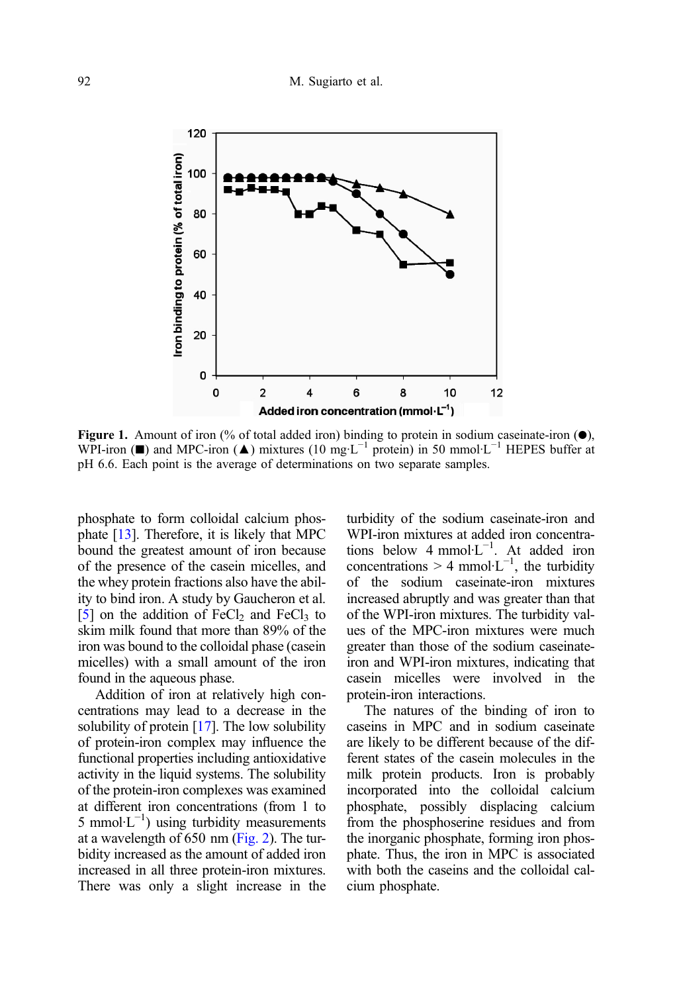<span id="page-5-0"></span>

**Figure 1.** Amount of iron (% of total added iron) binding to protein in sodium caseinate-iron ( $\bullet$ ), WPI-iron ( $\blacksquare$ ) and MPC-iron ( $\blacktriangle$ ) mixtures (10 mg·L<sup>-1</sup> protein) in 50 mmol·L<sup>-1</sup> HEPES buffer at pH 6.6. Each point is the average of determinations on two separate samples.

phosphate to form colloidal calcium phosphate [\[13](#page-11-0)]. Therefore, it is likely that MPC bound the greatest amount of iron because of the presence of the casein micelles, and the whey protein fractions also have the ability to bind iron. A study by Gaucheron et al.  $[5]$  $[5]$  on the addition of FeCl<sub>2</sub> and FeCl<sub>3</sub> to skim milk found that more than 89% of the iron was bound to the colloidal phase (casein micelles) with a small amount of the iron found in the aqueous phase.

Addition of iron at relatively high concentrations may lead to a decrease in the solubility of protein [\[17\]](#page-11-0). The low solubility of protein-iron complex may influence the functional properties including antioxidative activity in the liquid systems. The solubility of the protein-iron complexes was examined at different iron concentrations (from 1 to 5 mmol⋅ $L^{-1}$ ) using turbidity measurements at a wavelength of 650 nm [\(Fig. 2](#page-6-0)). The turbidity increased as the amount of added iron increased in all three protein-iron mixtures. There was only a slight increase in the

turbidity of the sodium caseinate-iron and WPI-iron mixtures at added iron concentrations below 4 mmol⋅L<sup>-1</sup>. At added iron concentrations > 4 mmol⋅L<sup>-1</sup>, the turbidity of the sodium caseinate-iron mixtures increased abruptly and was greater than that of the WPI-iron mixtures. The turbidity values of the MPC-iron mixtures were much greater than those of the sodium caseinateiron and WPI-iron mixtures, indicating that casein micelles were involved in the protein-iron interactions.

The natures of the binding of iron to caseins in MPC and in sodium caseinate are likely to be different because of the different states of the casein molecules in the milk protein products. Iron is probably incorporated into the colloidal calcium phosphate, possibly displacing calcium from the phosphoserine residues and from the inorganic phosphate, forming iron phosphate. Thus, the iron in MPC is associated with both the caseins and the colloidal calcium phosphate.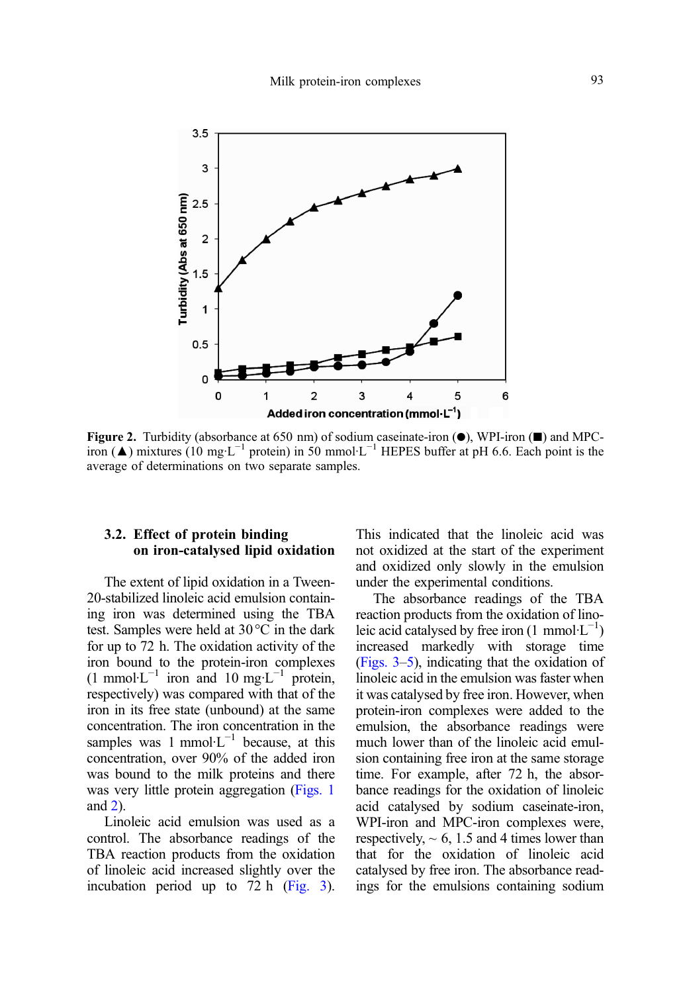<span id="page-6-0"></span>

**Figure 2.** Turbidity (absorbance at 650 nm) of sodium caseinate-iron  $(\bullet)$ , WPI-iron  $(\bullet)$  and MPCiron (▲) mixtures (10 mg·L<sup>-1</sup> protein) in 50 mmol·L<sup>-1</sup> HEPES buffer at pH 6.6. Each point is the average of determinations on two separate samples.

# 3.2. Effect of protein binding on iron-catalysed lipid oxidation

The extent of lipid oxidation in a Tween-20-stabilized linoleic acid emulsion containing iron was determined using the TBA test. Samples were held at 30 °C in the dark for up to 72 h. The oxidation activity of the iron bound to the protein-iron complexes  $(1 \text{ mmol·L}^{-1} \text{ iron and } 10 \text{ mg·L}^{-1} \text{ protein},$ respectively) was compared with that of the iron in its free state (unbound) at the same concentration. The iron concentration in the samples was 1 mmol⋅ $L^{-1}$  because, at this concentration, over 90% of the added iron was bound to the milk proteins and there was very little protein aggregation [\(Figs. 1](#page-5-0)) and 2).

Linoleic acid emulsion was used as a control. The absorbance readings of the TBA reaction products from the oxidation of linoleic acid increased slightly over the incubation period up to 72 h [\(Fig. 3](#page-7-0)). This indicated that the linoleic acid was not oxidized at the start of the experiment and oxidized only slowly in the emulsion under the experimental conditions.

The absorbance readings of the TBA reaction products from the oxidation of linoleic acid catalysed by free iron  $(1 \text{ mmol·L}^{-1})$ increased markedly with storage time ([Figs. 3](#page-7-0)–[5\)](#page-9-0), indicating that the oxidation of linoleic acid in the emulsion was faster when it was catalysed by free iron. However, when protein-iron complexes were added to the emulsion, the absorbance readings were much lower than of the linoleic acid emulsion containing free iron at the same storage time. For example, after 72 h, the absorbance readings for the oxidation of linoleic acid catalysed by sodium caseinate-iron, WPI-iron and MPC-iron complexes were, respectively,  $\sim 6$ , 1.5 and 4 times lower than that for the oxidation of linoleic acid catalysed by free iron. The absorbance readings for the emulsions containing sodium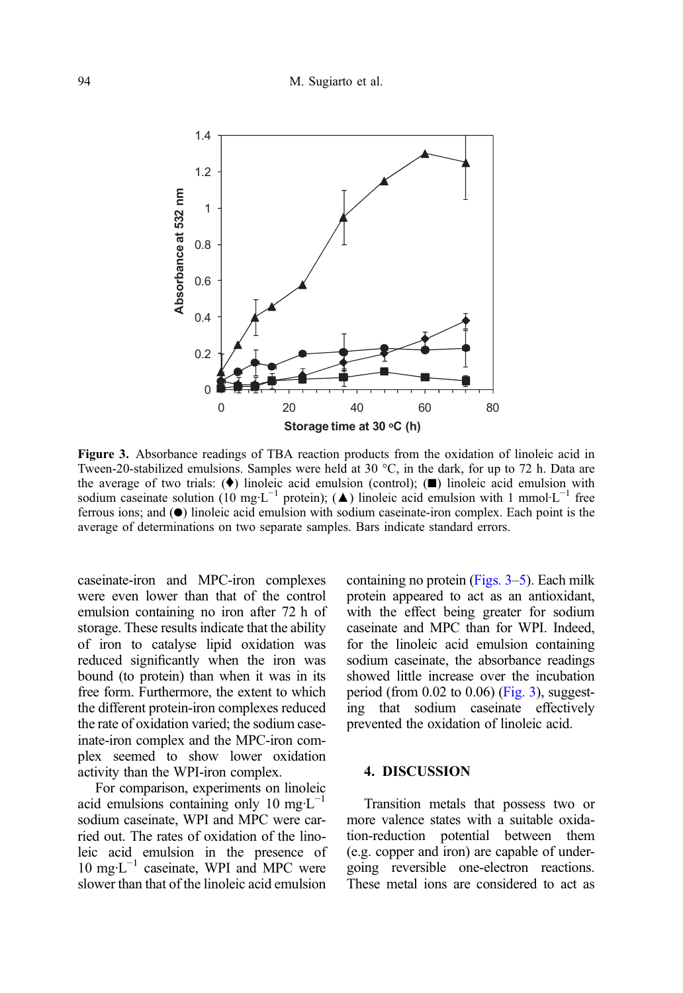<span id="page-7-0"></span>

Figure 3. Absorbance readings of TBA reaction products from the oxidation of linoleic acid in Tween-20-stabilized emulsions. Samples were held at 30 °C, in the dark, for up to 72 h. Data are the average of two trials:  $(\blacklozenge)$  linoleic acid emulsion (control);  $(\blacksquare)$  linoleic acid emulsion with sodium caseinate solution (10 mg·L<sup>-1</sup> protein); (▲) linoleic acid emulsion with 1 mmol·L<sup>-1</sup> free ferrous ions; and  $(\bullet)$  linoleic acid emulsion with sodium caseinate-iron complex. Each point is the average of determinations on two separate samples. Bars indicate standard errors.

caseinate-iron and MPC-iron complexes were even lower than that of the control emulsion containing no iron after 72 h of storage. These results indicate that the ability of iron to catalyse lipid oxidation was reduced significantly when the iron was bound (to protein) than when it was in its free form. Furthermore, the extent to which the different protein-iron complexes reduced the rate of oxidation varied; the sodium caseinate-iron complex and the MPC-iron complex seemed to show lower oxidation activity than the WPI-iron complex.

For comparison, experiments on linoleic acid emulsions containing only 10 mg· $L^{-1}$ sodium caseinate, WPI and MPC were carried out. The rates of oxidation of the linoleic acid emulsion in the presence of  $10 \text{ mg} \cdot \text{L}^{-1}$  caseinate, WPI and MPC were slower than that of the linoleic acid emulsion

containing no protein (Figs. 3–[5\)](#page-9-0). Each milk protein appeared to act as an antioxidant, with the effect being greater for sodium caseinate and MPC than for WPI. Indeed, for the linoleic acid emulsion containing sodium caseinate, the absorbance readings showed little increase over the incubation period (from  $0.02$  to  $0.06$ ) (Fig. 3), suggesting that sodium caseinate effectively prevented the oxidation of linoleic acid.

#### 4. DISCUSSION

Transition metals that possess two or more valence states with a suitable oxidation-reduction potential between them (e.g. copper and iron) are capable of undergoing reversible one-electron reactions. These metal ions are considered to act as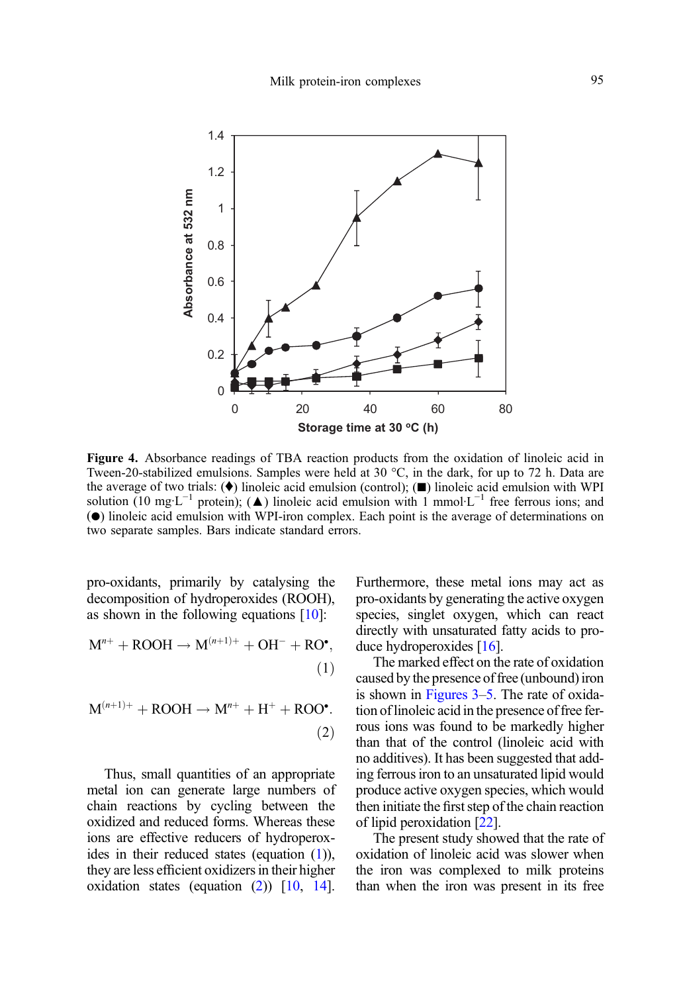<span id="page-8-0"></span>

Figure 4. Absorbance readings of TBA reaction products from the oxidation of linoleic acid in Tween-20-stabilized emulsions. Samples were held at 30 °C, in the dark, for up to 72 h. Data are the average of two trials:  $(\bullet)$  linoleic acid emulsion (control);  $(\blacksquare)$  linoleic acid emulsion with WPI solution (10 mg·L<sup>-1</sup> protein); ( $\blacktriangle$ ) linoleic acid emulsion with 1 mmol·L<sup>-1</sup> free ferrous ions; and (d) linoleic acid emulsion with WPI-iron complex. Each point is the average of determinations on two separate samples. Bars indicate standard errors.

pro-oxidants, primarily by catalysing the decomposition of hydroperoxides (ROOH), as shown in the following equations  $[10]$  $[10]$  $[10]$ :

$$
M^{n+} + \text{ROOH} \rightarrow M^{(n+1)+} + \text{OH}^- + \text{RO}^\bullet,
$$
  
(1)

$$
M^{(n+1)+} + \text{ROOH} \rightarrow M^{n+} + H^+ + \text{ROO}^{\bullet}.
$$
  
(2)

Thus, small quantities of an appropriate metal ion can generate large numbers of chain reactions by cycling between the oxidized and reduced forms. Whereas these ions are effective reducers of hydroperoxides in their reduced states (equation (1)), they are less efficient oxidizers in their higher oxidation states (equation  $(2)$ )  $[10, 14]$  $[10, 14]$  $[10, 14]$  $[10, 14]$ . Furthermore, these metal ions may act as pro-oxidants by generating the active oxygen species, singlet oxygen, which can react directly with unsaturated fatty acids to produce hydroperoxides [[16\]](#page-11-0).

The marked effect on the rate of oxidation caused by the presence of free (unbound) iron is shown in [Figures 3](#page-7-0)–[5.](#page-9-0) The rate of oxidation of linoleic acid in the presence of free ferrous ions was found to be markedly higher than that of the control (linoleic acid with no additives). It has been suggested that adding ferrous iron to an unsaturated lipid would produce active oxygen species, which would then initiate the first step of the chain reaction of lipid peroxidation [\[22\]](#page-11-0).

The present study showed that the rate of oxidation of linoleic acid was slower when the iron was complexed to milk proteins than when the iron was present in its free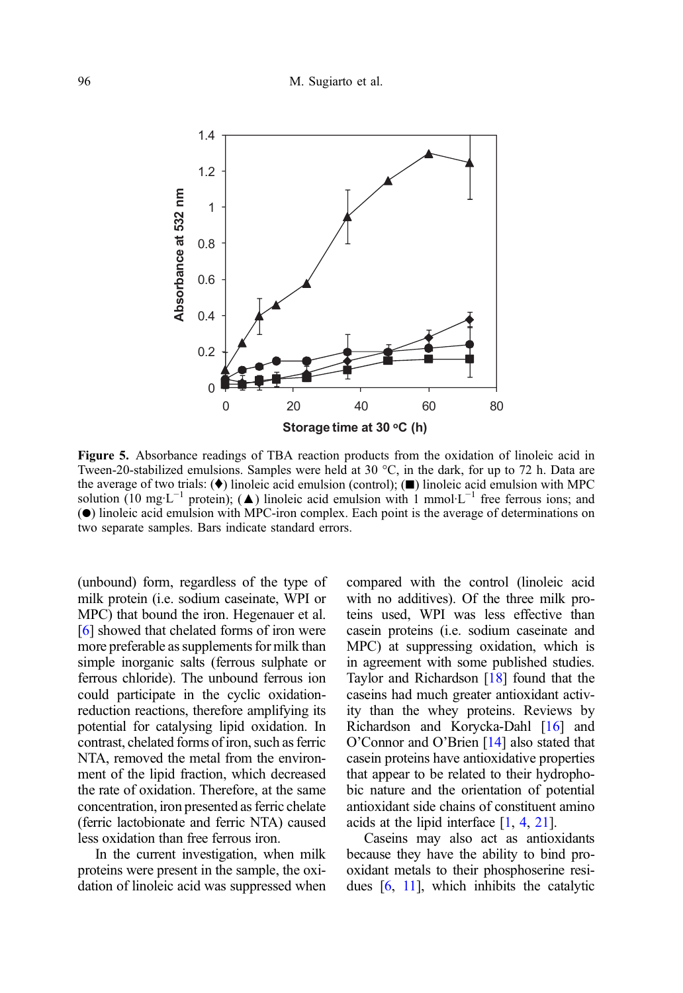<span id="page-9-0"></span>

Figure 5. Absorbance readings of TBA reaction products from the oxidation of linoleic acid in Tween-20-stabilized emulsions. Samples were held at 30 °C, in the dark, for up to 72 h. Data are the average of two trials:  $(\bullet)$  linoleic acid emulsion (control);  $(\bullet)$  linoleic acid emulsion with MPC solution (10 mg·L<sup>-1</sup> protein); ( $\blacktriangle$ ) linoleic acid emulsion with 1 mmol·L<sup>-1</sup> free ferrous ions; and (d) linoleic acid emulsion with MPC-iron complex. Each point is the average of determinations on two separate samples. Bars indicate standard errors.

(unbound) form, regardless of the type of milk protein (i.e. sodium caseinate, WPI or MPC) that bound the iron. Hegenauer et al. [\[6](#page-10-0)] showed that chelated forms of iron were more preferable as supplements for milk than simple inorganic salts (ferrous sulphate or ferrous chloride). The unbound ferrous ion could participate in the cyclic oxidationreduction reactions, therefore amplifying its potential for catalysing lipid oxidation. In contrast, chelated forms of iron, such as ferric NTA, removed the metal from the environment of the lipid fraction, which decreased the rate of oxidation. Therefore, at the same concentration, iron presented as ferric chelate (ferric lactobionate and ferric NTA) caused less oxidation than free ferrous iron.

In the current investigation, when milk proteins were present in the sample, the oxidation of linoleic acid was suppressed when compared with the control (linoleic acid with no additives). Of the three milk proteins used, WPI was less effective than casein proteins (i.e. sodium caseinate and MPC) at suppressing oxidation, which is in agreement with some published studies. Taylor and Richardson [[18](#page-11-0)] found that the caseins had much greater antioxidant activity than the whey proteins. Reviews by Richardson and Korycka-Dahl [[16\]](#page-11-0) and O'Connor and O'Brien [\[14\]](#page-11-0) also stated that casein proteins have antioxidative properties that appear to be related to their hydrophobic nature and the orientation of potential antioxidant side chains of constituent amino acids at the lipid interface [[1](#page-10-0), [4](#page-10-0), [21](#page-11-0)].

Caseins may also act as antioxidants because they have the ability to bind prooxidant metals to their phosphoserine residues [[6](#page-10-0), [11](#page-11-0)], which inhibits the catalytic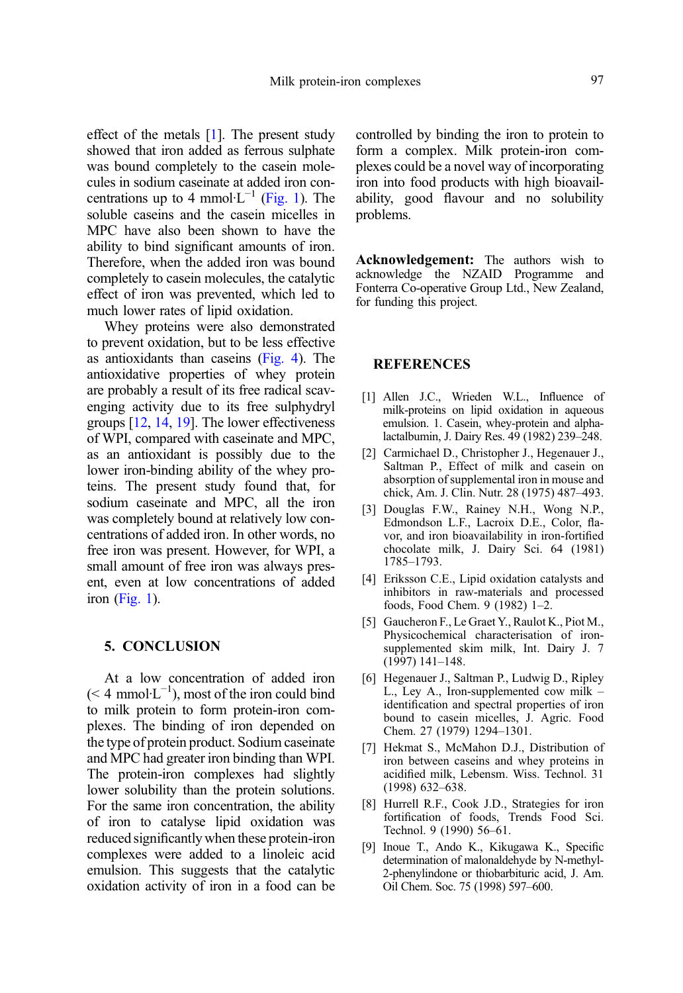<span id="page-10-0"></span>effect of the metals [1]. The present study showed that iron added as ferrous sulphate was bound completely to the casein molecules in sodium caseinate at added iron con-centrations up to 4 mmol⋅L<sup>-1</sup> [\(Fig. 1\)](#page-5-0). The soluble caseins and the casein micelles in MPC have also been shown to have the ability to bind significant amounts of iron. Therefore, when the added iron was bound completely to casein molecules, the catalytic effect of iron was prevented, which led to much lower rates of lipid oxidation.

Whey proteins were also demonstrated to prevent oxidation, but to be less effective as antioxidants than caseins ([Fig. 4](#page-8-0)). The antioxidative properties of whey protein are probably a result of its free radical scavenging activity due to its free sulphydryl groups [\[12](#page-11-0), [14,](#page-11-0) [19](#page-11-0)]. The lower effectiveness of WPI, compared with caseinate and MPC, as an antioxidant is possibly due to the lower iron-binding ability of the whey proteins. The present study found that, for sodium caseinate and MPC, all the iron was completely bound at relatively low concentrations of added iron. In other words, no free iron was present. However, for WPI, a small amount of free iron was always present, even at low concentrations of added iron  $(Fig. 1)$ .

# 5. CONCLUSION

At a low concentration of added iron  $(< 4$  mmol⋅L<sup>-1</sup>), most of the iron could bind to milk protein to form protein-iron complexes. The binding of iron depended on the type of protein product. Sodium caseinate and MPC had greater iron binding than WPI. The protein-iron complexes had slightly lower solubility than the protein solutions. For the same iron concentration, the ability of iron to catalyse lipid oxidation was reduced significantly when these protein-iron complexes were added to a linoleic acid emulsion. This suggests that the catalytic oxidation activity of iron in a food can be controlled by binding the iron to protein to form a complex. Milk protein-iron complexes could be a novel way of incorporating iron into food products with high bioavailability, good flavour and no solubility problems.

Acknowledgement: The authors wish to acknowledge the NZAID Programme and Fonterra Co-operative Group Ltd., New Zealand, for funding this project.

#### **REFERENCES**

- [1] Allen J.C., Wrieden W.L., Influence of milk-proteins on lipid oxidation in aqueous emulsion. 1. Casein, whey-protein and alphalactalbumin, J. Dairy Res. 49 (1982) 239–248.
- [2] Carmichael D., Christopher J., Hegenauer J., Saltman P., Effect of milk and casein on absorption of supplemental iron in mouse and chick, Am. J. Clin. Nutr. 28 (1975) 487–493.
- [3] Douglas F.W., Rainey N.H., Wong N.P., Edmondson L.F., Lacroix D.E., Color, flavor, and iron bioavailability in iron-fortified chocolate milk, J. Dairy Sci. 64 (1981) 1785–1793.
- [4] Eriksson C.E., Lipid oxidation catalysts and inhibitors in raw-materials and processed foods, Food Chem. 9 (1982) 1–2.
- [5] Gaucheron F., Le Graet Y., Raulot K., Piot M., Physicochemical characterisation of ironsupplemented skim milk, Int. Dairy J. 7 (1997) 141–148.
- [6] Hegenauer J., Saltman P., Ludwig D., Ripley L., Ley A., Iron-supplemented cow milk – identification and spectral properties of iron bound to casein micelles, J. Agric. Food Chem. 27 (1979) 1294–1301.
- [7] Hekmat S., McMahon D.J., Distribution of iron between caseins and whey proteins in acidified milk, Lebensm. Wiss. Technol. 31 (1998) 632–638.
- [8] Hurrell R.F., Cook J.D., Strategies for iron fortification of foods, Trends Food Sci. Technol. 9 (1990) 56–61.
- [9] Inoue T., Ando K., Kikugawa K., Specific determination of malonaldehyde by N-methyl-2-phenylindone or thiobarbituric acid, J. Am. Oil Chem. Soc. 75 (1998) 597–600.